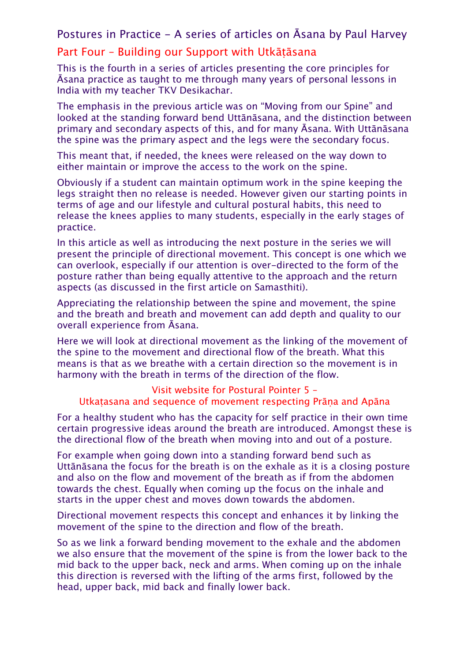## Postures in Practice - A series of articles on Āsana by Paul Harvey

## Part Four – Building our Support with Utkāṭāsana

This is the fourth in a series of articles presenting the core principles for Āsana practice as taught to me through many years of personal lessons in India with my teacher TKV Desikachar.

The emphasis in the previous article was on "Moving from our Spine" and looked at the standing forward bend Uttānāsana, and the distinction between primary and secondary aspects of this, and for many Āsana. With Uttānāsana the spine was the primary aspect and the legs were the secondary focus.

This meant that, if needed, the knees were released on the way down to either maintain or improve the access to the work on the spine.

Obviously if a student can maintain optimum work in the spine keeping the legs straight then no release is needed. However given our starting points in terms of age and our lifestyle and cultural postural habits, this need to release the knees applies to many students, especially in the early stages of practice.

In this article as well as introducing the next posture in the series we will present the principle of directional movement. This concept is one which we can overlook, especially if our attention is over-directed to the form of the posture rather than being equally attentive to the approach and the return aspects (as discussed in the first article on Samasthiti).

Appreciating the relationship between the spine and movement, the spine and the breath and breath and movement can add depth and quality to our overall experience from Āsana.

Here we will look at directional movement as the linking of the movement of the spine to the movement and directional flow of the breath. What this means is that as we breathe with a certain direction so the movement is in harmony with the breath in terms of the direction of the flow.

## Visit website for Postural Pointer 5 – Utkaṭasana and sequence of movement respecting Prāṇa and Apāna

For a healthy student who has the capacity for self practice in their own time certain progressive ideas around the breath are introduced. Amongst these is the directional flow of the breath when moving into and out of a posture.

For example when going down into a standing forward bend such as Uttānāsana the focus for the breath is on the exhale as it is a closing posture and also on the flow and movement of the breath as if from the abdomen towards the chest. Equally when coming up the focus on the inhale and starts in the upper chest and moves down towards the abdomen.

Directional movement respects this concept and enhances it by linking the movement of the spine to the direction and flow of the breath.

So as we link a forward bending movement to the exhale and the abdomen we also ensure that the movement of the spine is from the lower back to the mid back to the upper back, neck and arms. When coming up on the inhale this direction is reversed with the lifting of the arms first, followed by the head, upper back, mid back and finally lower back.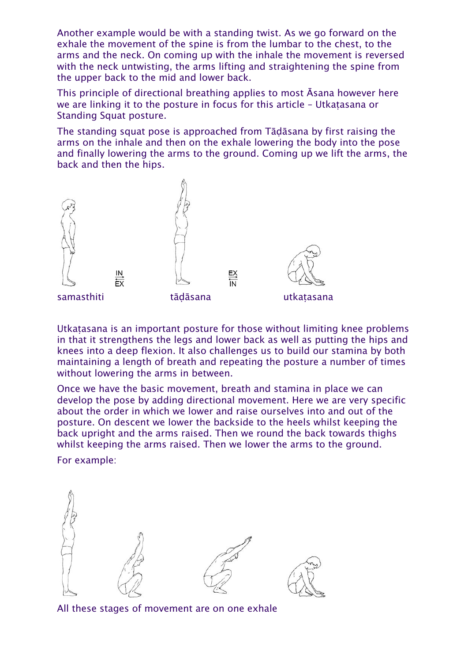Another example would be with a standing twist. As we go forward on the exhale the movement of the spine is from the lumbar to the chest, to the arms and the neck. On coming up with the inhale the movement is reversed with the neck untwisting, the arms lifting and straightening the spine from the upper back to the mid and lower back.

This principle of directional breathing applies to most Āsana however here we are linking it to the posture in focus for this article – Utkaṭasana or Standing Squat posture.

The standing squat pose is approached from Tāḍāsana by first raising the arms on the inhale and then on the exhale lowering the body into the pose and finally lowering the arms to the ground. Coming up we lift the arms, the back and then the hips.



Utkatasana is an important posture for those without limiting knee problems in that it strengthens the legs and lower back as well as putting the hips and knees into a deep flexion. It also challenges us to build our stamina by both maintaining a length of breath and repeating the posture a number of times without lowering the arms in between.

Once we have the basic movement, breath and stamina in place we can develop the pose by adding directional movement. Here we are very specific about the order in which we lower and raise ourselves into and out of the posture. On descent we lower the backside to the heels whilst keeping the back upright and the arms raised. Then we round the back towards thighs whilst keeping the arms raised. Then we lower the arms to the ground.

For example:



All these stages of movement are on one exhale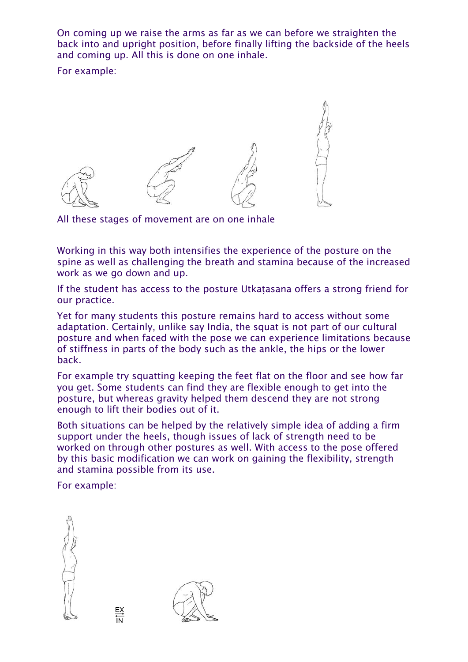On coming up we raise the arms as far as we can before we straighten the back into and upright position, before finally lifting the backside of the heels and coming up. All this is done on one inhale. For example:



All these stages of movement are on one inhale

Working in this way both intensifies the experience of the posture on the spine as well as challenging the breath and stamina because of the increased work as we go down and up.

If the student has access to the posture Utkaṭasana offers a strong friend for our practice.

Yet for many students this posture remains hard to access without some adaptation. Certainly, unlike say India, the squat is not part of our cultural posture and when faced with the pose we can experience limitations because of stiffness in parts of the body such as the ankle, the hips or the lower back.

For example try squatting keeping the feet flat on the floor and see how far you get. Some students can find they are flexible enough to get into the posture, but whereas gravity helped them descend they are not strong enough to lift their bodies out of it.

Both situations can be helped by the relatively simple idea of adding a firm support under the heels, though issues of lack of strength need to be worked on through other postures as well. With access to the pose offered by this basic modification we can work on gaining the flexibility, strength and stamina possible from its use.

For example: